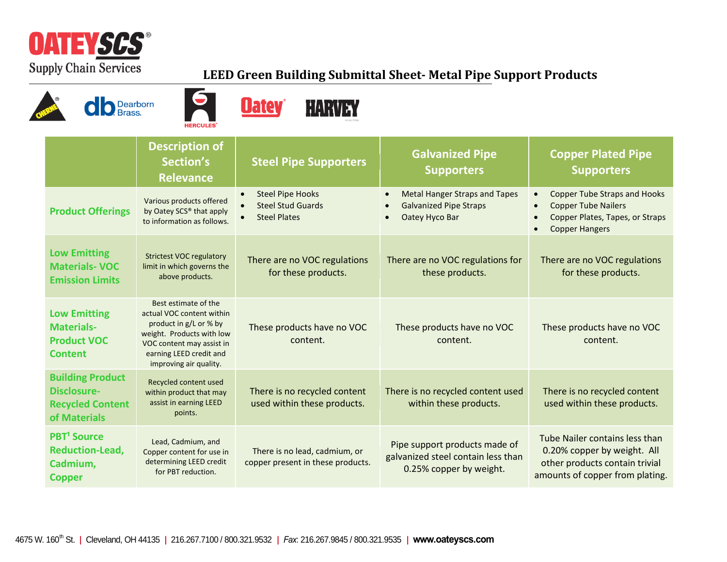

## **LEED Green Building Submittal Sheet- Metal Pipe Support Products**